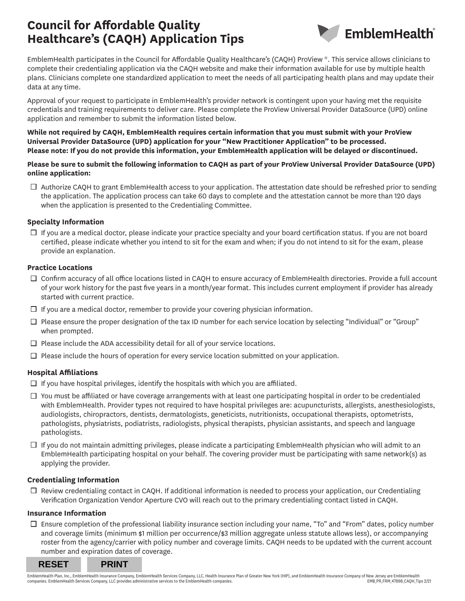# **Council for Affordable Quality Healthcare's (CAQH) Application Tips**



EmblemHealth participates in the Council for Affordable Quality Healthcare's (CAQH) ProView ®. This service allows clinicians to complete their credentialing application via the CAQH website and make their information available for use by multiple health plans. Clinicians complete one standardized application to meet the needs of all participating health plans and may update their data at any time.

Approval of your request to participate in EmblemHealth's provider network is contingent upon your having met the requisite credentials and training requirements to deliver care. Please complete the ProView Universal Provider DataSource (UPD) online application and remember to submit the information listed below.

#### **While not required by CAQH, EmblemHealth requires certain information that you must submit with your ProView Universal Provider DataSource (UPD) application for your "New Practitioner Application" to be processed. Please note: If you do not provide this information, your EmblemHealth application will be delayed or discontinued.**

#### **Please be sure to submit the following information to CAQH as part of your ProView Universal Provider DataSource (UPD) online application:**

 $\Box$  Authorize CAQH to grant EmblemHealth access to your application. The attestation date should be refreshed prior to sending the application. The application process can take 60 days to complete and the attestation cannot be more than 120 days when the application is presented to the Credentialing Committee.

#### **Specialty Information**

 $\Box$  If you are a medical doctor, please indicate your practice specialty and your board certification status. If you are not board certified, please indicate whether you intend to sit for the exam and when; if you do not intend to sit for the exam, please provide an explanation.

#### **Practice Locations**

- $\Box$  Confirm accuracy of all office locations listed in CAQH to ensure accuracy of EmblemHealth directories. Provide a full account of your work history for the past five years in a month/year format. This includes current employment if provider has already started with current practice.
- $\Box$  If you are a medical doctor, remember to provide your covering physician information.
- $\Box$  Please ensure the proper designation of the tax ID number for each service location by selecting "Individual" or "Group" when prompted.
- $\Box$  Please include the ADA accessibility detail for all of your service locations.
- $\Box$  Please include the hours of operation for every service location submitted on your application.

# **Hospital Affiliations**

- $\Box$  If you have hospital privileges, identify the hospitals with which you are affiliated.
- $\Box$  You must be affiliated or have coverage arrangements with at least one participating hospital in order to be credentialed with EmblemHealth. Provider types not required to have hospital privileges are: acupuncturists, allergists, anesthesiologists, audiologists, chiropractors, dentists, dermatologists, geneticists, nutritionists, occupational therapists, optometrists, pathologists, physiatrists, podiatrists, radiologists, physical therapists, physician assistants, and speech and language pathologists.
- $\Box$  If you do not maintain admitting privileges, please indicate a participating EmblemHealth physician who will admit to an EmblemHealth participating hospital on your behalf. The covering provider must be participating with same network(s) as applying the provider.

# **Credentialing Information**

 $\Box$  Review credentialing contact in CAQH. If additional information is needed to process your application, our Credentialing Verification Organization Vendor Aperture CVO will reach out to the primary credentialing contact listed in CAQH.

#### **Insurance Information**

Ensure completion of the professional liability insurance section including your name, "To" and "From" dates, policy number and coverage limits (minimum \$1 million per occurrence/\$3 million aggregate unless statute allows less), or accompanying roster from the agency/carrier with policy number and coverage limits. CAQH needs to be updated with the current account number and expiration dates of coverage.

**RESET PRINT**

EmblemHealth Plan, Inc., EmblemHealth Insurance Company, EmblemHealth Services Company, LLC, Health Insurance Plan of Greater New York (HIP), and EmblemHealth Insurance Company of New Jersey are EmblemHealth Insurance Dam companies. EmblemHealth Services Company, LLC provides administrative services to the EmblemHealth companies